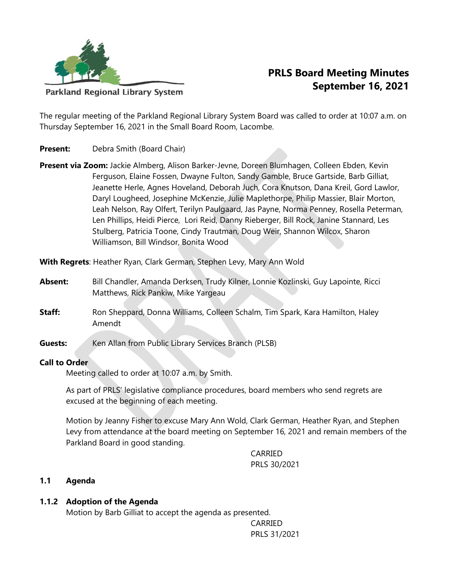

**PRLS Board Meeting Minutes September 16, 2021**

**Parkland Regional Library System** 

The regular meeting of the Parkland Regional Library System Board was called to order at 10:07 a.m. on Thursday September 16, 2021 in the Small Board Room, Lacombe.

- **Present:** Debra Smith (Board Chair)
- **Present via Zoom:** Jackie Almberg, Alison Barker-Jevne, Doreen Blumhagen, Colleen Ebden, Kevin Ferguson, Elaine Fossen, Dwayne Fulton, Sandy Gamble, Bruce Gartside, Barb Gilliat, Jeanette Herle, Agnes Hoveland, Deborah Juch, Cora Knutson, Dana Kreil, Gord Lawlor, Daryl Lougheed, Josephine McKenzie, Julie Maplethorpe, Philip Massier, Blair Morton, Leah Nelson, Ray Olfert, Terilyn Paulgaard, Jas Payne, Norma Penney, Rosella Peterman, Len Phillips, Heidi Pierce, Lori Reid, Danny Rieberger, Bill Rock, Janine Stannard, Les Stulberg, Patricia Toone, Cindy Trautman, Doug Weir, Shannon Wilcox, Sharon Williamson, Bill Windsor, Bonita Wood

**With Regrets**: Heather Ryan, Clark German, Stephen Levy, Mary Ann Wold

- **Absent:** Bill Chandler, Amanda Derksen, Trudy Kilner, Lonnie Kozlinski, Guy Lapointe, Ricci Matthews, Rick Pankiw, Mike Yargeau
- **Staff:** Ron Sheppard, Donna Williams, Colleen Schalm, Tim Spark, Kara Hamilton, Haley Amendt
- **Guests:** Ken Allan from Public Library Services Branch (PLSB)

### **Call to Order**

Meeting called to order at 10:07 a.m. by Smith.

As part of PRLS' legislative compliance procedures, board members who send regrets are excused at the beginning of each meeting.

Motion by Jeanny Fisher to excuse Mary Ann Wold, Clark German, Heather Ryan, and Stephen Levy from attendance at the board meeting on September 16, 2021 and remain members of the Parkland Board in good standing.

> CARRIED PRLS 30/2021

### **1.1 Agenda**

### **1.1.2 Adoption of the Agenda**

Motion by Barb Gilliat to accept the agenda as presented.

CARRIED PRLS 31/2021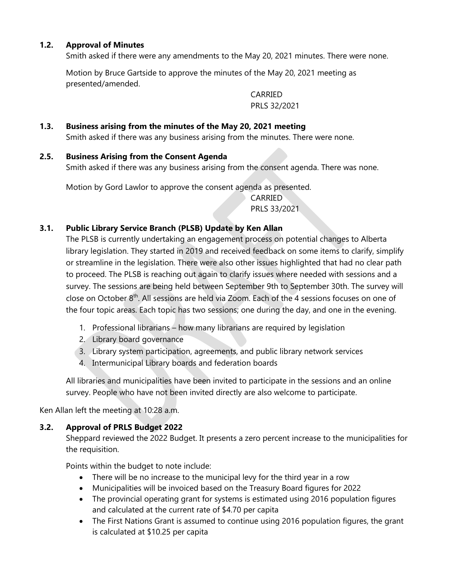# **1.2. Approval of Minutes**

Smith asked if there were any amendments to the May 20, 2021 minutes. There were none.

Motion by Bruce Gartside to approve the minutes of the May 20, 2021 meeting as presented/amended.

> CARRIED PRLS 32/2021

# **1.3. Business arising from the minutes of the May 20, 2021 meeting**

Smith asked if there was any business arising from the minutes. There were none.

#### **2.5. Business Arising from the Consent Agenda**

Smith asked if there was any business arising from the consent agenda. There was none.

Motion by Gord Lawlor to approve the consent agenda as presented.

CARRIED PRLS 33/2021

### **3.1. Public Library Service Branch (PLSB) Update by Ken Allan**

The PLSB is currently undertaking an engagement process on potential changes to Alberta library legislation. They started in 2019 and received feedback on some items to clarify, simplify or streamline in the legislation. There were also other issues highlighted that had no clear path to proceed. The PLSB is reaching out again to clarify issues where needed with sessions and a survey. The sessions are being held between September 9th to September 30th. The survey will close on October 8th. All sessions are held via Zoom. Each of the 4 sessions focuses on one of the four topic areas. Each topic has two sessions; one during the day, and one in the evening.

- 1. Professional librarians how many librarians are required by legislation
- 2. Library board governance
- 3. Library system participation, agreements, and public library network services
- 4. Intermunicipal Library boards and federation boards

All libraries and municipalities have been invited to participate in the sessions and an online survey. People who have not been invited directly are also welcome to participate.

Ken Allan left the meeting at 10:28 a.m.

### **3.2. Approval of PRLS Budget 2022**

Sheppard reviewed the 2022 Budget. It presents a zero percent increase to the municipalities for the requisition.

Points within the budget to note include:

- There will be no increase to the municipal levy for the third year in a row
- Municipalities will be invoiced based on the Treasury Board figures for 2022
- The provincial operating grant for systems is estimated using 2016 population figures and calculated at the current rate of \$4.70 per capita
- The First Nations Grant is assumed to continue using 2016 population figures, the grant is calculated at \$10.25 per capita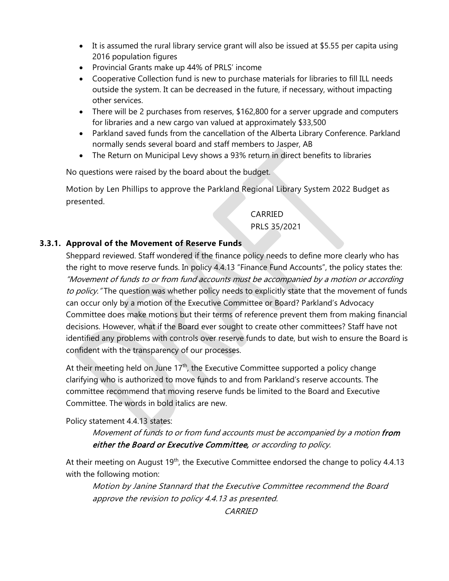- It is assumed the rural library service grant will also be issued at \$5.55 per capita using 2016 population figures
- Provincial Grants make up 44% of PRLS' income
- Cooperative Collection fund is new to purchase materials for libraries to fill ILL needs outside the system. It can be decreased in the future, if necessary, without impacting other services.
- There will be 2 purchases from reserves, \$162,800 for a server upgrade and computers for libraries and a new cargo van valued at approximately \$33,500
- Parkland saved funds from the cancellation of the Alberta Library Conference. Parkland normally sends several board and staff members to Jasper, AB
- The Return on Municipal Levy shows a 93% return in direct benefits to libraries

No questions were raised by the board about the budget.

Motion by Len Phillips to approve the Parkland Regional Library System 2022 Budget as presented.

## CARRIED

PRLS 35/2021

### **3.3.1. Approval of the Movement of Reserve Funds**

Sheppard reviewed. Staff wondered if the finance policy needs to define more clearly who has the right to move reserve funds. In policy 4.4.13 "Finance Fund Accounts", the policy states the: "Movement of funds to or from fund accounts must be accompanied by a motion or according to policy. "The question was whether policy needs to explicitly state that the movement of funds can occur only by a motion of the Executive Committee or Board? Parkland's Advocacy Committee does make motions but their terms of reference prevent them from making financial decisions. However, what if the Board ever sought to create other committees? Staff have not identified any problems with controls over reserve funds to date, but wish to ensure the Board is confident with the transparency of our processes.

At their meeting held on June  $17<sup>th</sup>$ , the Executive Committee supported a policy change clarifying who is authorized to move funds to and from Parkland's reserve accounts. The committee recommend that moving reserve funds be limited to the Board and Executive Committee. The words in bold italics are new.

### Policy statement 4.4.13 states:

Movement of funds to or from fund accounts must be accompanied by a motion from either the Board or Executive Committee, or according to policy.

At their meeting on August  $19<sup>th</sup>$ , the Executive Committee endorsed the change to policy 4.4.13 with the following motion:

Motion by Janine Stannard that the Executive Committee recommend the Board approve the revision to policy 4.4.13 as presented.

CARRIED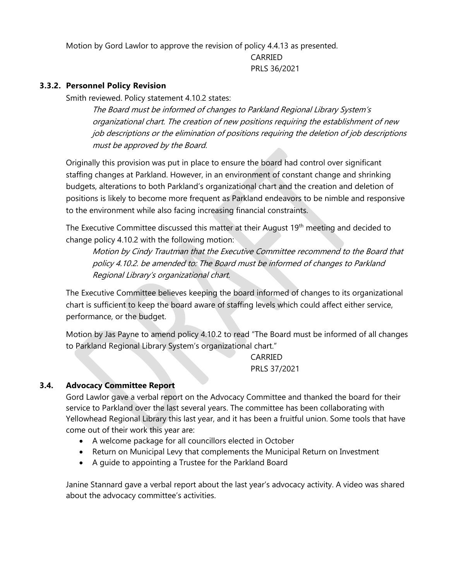Motion by Gord Lawlor to approve the revision of policy 4.4.13 as presented.

CARRIED PRLS 36/2021

#### **3.3.2. Personnel Policy Revision**

Smith reviewed. Policy statement 4.10.2 states:

The Board must be informed of changes to Parkland Regional Library System's organizational chart. The creation of new positions requiring the establishment of new job descriptions or the elimination of positions requiring the deletion of job descriptions must be approved by the Board.

Originally this provision was put in place to ensure the board had control over significant staffing changes at Parkland. However, in an environment of constant change and shrinking budgets, alterations to both Parkland's organizational chart and the creation and deletion of positions is likely to become more frequent as Parkland endeavors to be nimble and responsive to the environment while also facing increasing financial constraints.

The Executive Committee discussed this matter at their August 19<sup>th</sup> meeting and decided to change policy 4.10.2 with the following motion:

Motion by Cindy Trautman that the Executive Committee recommend to the Board that policy 4.10.2. be amended to: The Board must be informed of changes to Parkland Regional Library's organizational chart.

The Executive Committee believes keeping the board informed of changes to its organizational chart is sufficient to keep the board aware of staffing levels which could affect either service, performance, or the budget.

Motion by Jas Payne to amend policy 4.10.2 to read "The Board must be informed of all changes to Parkland Regional Library System's organizational chart."

> CARRIED PRLS 37/2021

### **3.4. Advocacy Committee Report**

Gord Lawlor gave a verbal report on the Advocacy Committee and thanked the board for their service to Parkland over the last several years. The committee has been collaborating with Yellowhead Regional Library this last year, and it has been a fruitful union. Some tools that have come out of their work this year are:

- A welcome package for all councillors elected in October
- Return on Municipal Levy that complements the Municipal Return on Investment
- A guide to appointing a Trustee for the Parkland Board

Janine Stannard gave a verbal report about the last year's advocacy activity. A video was shared about the advocacy committee's activities.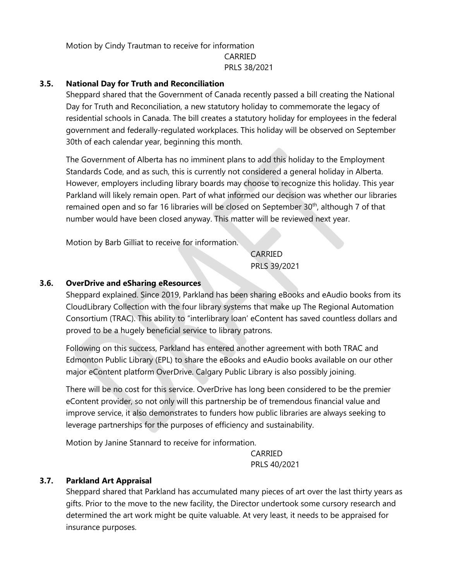Motion by Cindy Trautman to receive for information CARRIED PRLS 38/2021

#### **3.5. National Day for Truth and Reconciliation**

Sheppard shared that the Government of Canada recently passed a bill creating the National Day for Truth and Reconciliation, a new statutory holiday to commemorate the legacy of residential schools in Canada. The bill creates a statutory holiday for employees in the federal government and federally-regulated workplaces. This holiday will be observed on September 30th of each calendar year, beginning this month.

The Government of Alberta has no imminent plans to add this holiday to the Employment Standards Code, and as such, this is currently not considered a general holiday in Alberta. However, employers including library boards may choose to recognize this holiday. This year Parkland will likely remain open. Part of what informed our decision was whether our libraries remained open and so far 16 libraries will be closed on September  $30<sup>th</sup>$ , although 7 of that number would have been closed anyway. This matter will be reviewed next year.

Motion by Barb Gilliat to receive for information.

CARRIED PRLS 39/2021

#### **3.6. OverDrive and eSharing eResources**

Sheppard explained. Since 2019, Parkland has been sharing eBooks and eAudio books from its CloudLibrary Collection with the four library systems that make up The Regional Automation Consortium (TRAC). This ability to "interlibrary loan' eContent has saved countless dollars and proved to be a hugely beneficial service to library patrons.

Following on this success, Parkland has entered another agreement with both TRAC and Edmonton Public Library (EPL) to share the eBooks and eAudio books available on our other major eContent platform OverDrive. Calgary Public Library is also possibly joining.

There will be no cost for this service. OverDrive has long been considered to be the premier eContent provider, so not only will this partnership be of tremendous financial value and improve service, it also demonstrates to funders how public libraries are always seeking to leverage partnerships for the purposes of efficiency and sustainability.

Motion by Janine Stannard to receive for information.

CARRIED PRLS 40/2021

#### **3.7. Parkland Art Appraisal**

Sheppard shared that Parkland has accumulated many pieces of art over the last thirty years as gifts. Prior to the move to the new facility, the Director undertook some cursory research and determined the art work might be quite valuable. At very least, it needs to be appraised for insurance purposes.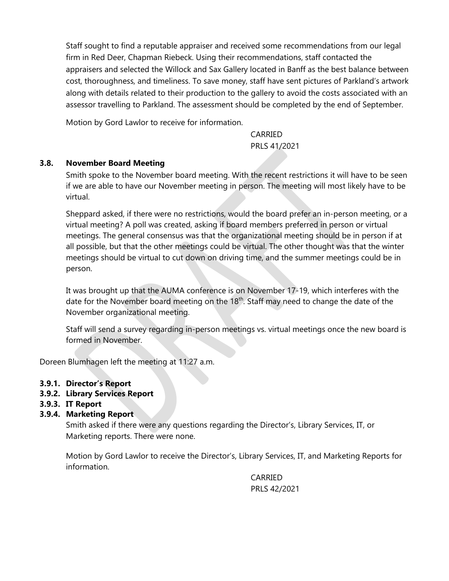Staff sought to find a reputable appraiser and received some recommendations from our legal firm in Red Deer, Chapman Riebeck. Using their recommendations, staff contacted the appraisers and selected the Willock and Sax Gallery located in Banff as the best balance between cost, thoroughness, and timeliness. To save money, staff have sent pictures of Parkland's artwork along with details related to their production to the gallery to avoid the costs associated with an assessor travelling to Parkland. The assessment should be completed by the end of September.

Motion by Gord Lawlor to receive for information.

CARRIED PRLS 41/2021

### **3.8. November Board Meeting**

Smith spoke to the November board meeting. With the recent restrictions it will have to be seen if we are able to have our November meeting in person. The meeting will most likely have to be virtual.

Sheppard asked, if there were no restrictions, would the board prefer an in-person meeting, or a virtual meeting? A poll was created, asking if board members preferred in person or virtual meetings. The general consensus was that the organizational meeting should be in person if at all possible, but that the other meetings could be virtual. The other thought was that the winter meetings should be virtual to cut down on driving time, and the summer meetings could be in person.

It was brought up that the AUMA conference is on November 17-19, which interferes with the date for the November board meeting on the 18<sup>th</sup>. Staff may need to change the date of the November organizational meeting.

Staff will send a survey regarding in-person meetings vs. virtual meetings once the new board is formed in November.

Doreen Blumhagen left the meeting at 11:27 a.m.

- **3.9.1. Director's Report**
- **3.9.2. Library Services Report**
- **3.9.3. IT Report**
- **3.9.4. Marketing Report**

Smith asked if there were any questions regarding the Director's, Library Services, IT, or Marketing reports. There were none.

Motion by Gord Lawlor to receive the Director's, Library Services, IT, and Marketing Reports for information.

> CARRIED PRLS 42/2021